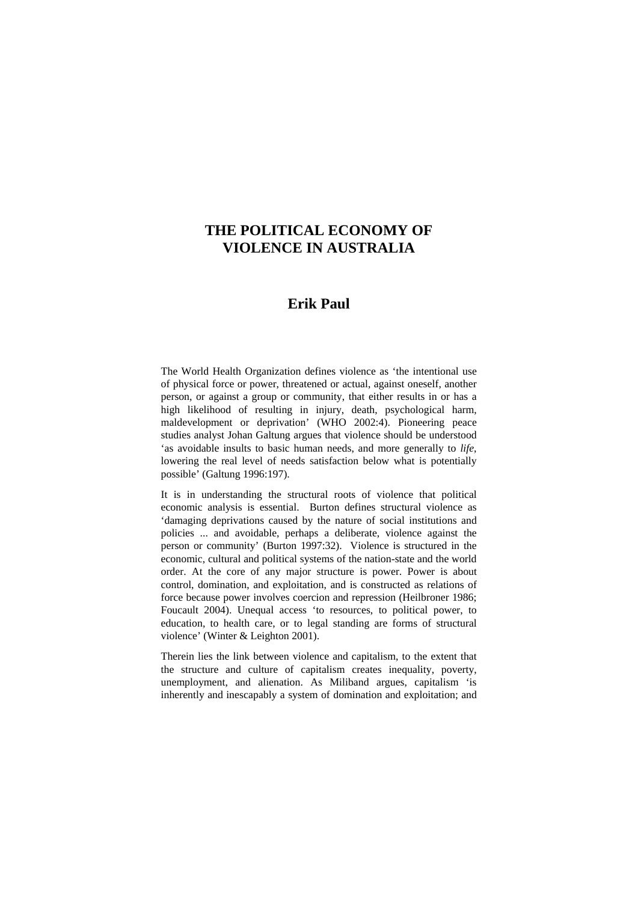# **THE POLITICAL ECONOMY OF VIOLENCE IN AUSTRALIA**

# **Erik Paul**

The World Health Organization defines violence as 'the intentional use of physical force or power, threatened or actual, against oneself, another person, or against a group or community, that either results in or has a high likelihood of resulting in injury, death, psychological harm, maldevelopment or deprivation' (WHO 2002:4). Pioneering peace studies analyst Johan Galtung argues that violence should be understood 'as avoidable insults to basic human needs, and more generally to *life*, lowering the real level of needs satisfaction below what is potentially possible' (Galtung 1996:197).

It is in understanding the structural roots of violence that political economic analysis is essential. Burton defines structural violence as 'damaging deprivations caused by the nature of social institutions and policies ... and avoidable, perhaps a deliberate, violence against the person or community' (Burton 1997:32). Violence is structured in the economic, cultural and political systems of the nation-state and the world order. At the core of any major structure is power. Power is about control, domination, and exploitation, and is constructed as relations of force because power involves coercion and repression (Heilbroner 1986; Foucault 2004). Unequal access 'to resources, to political power, to education, to health care, or to legal standing are forms of structural violence' (Winter & Leighton 2001).

Therein lies the link between violence and capitalism, to the extent that the structure and culture of capitalism creates inequality, poverty, unemployment, and alienation. As Miliband argues, capitalism 'is inherently and inescapably a system of domination and exploitation; and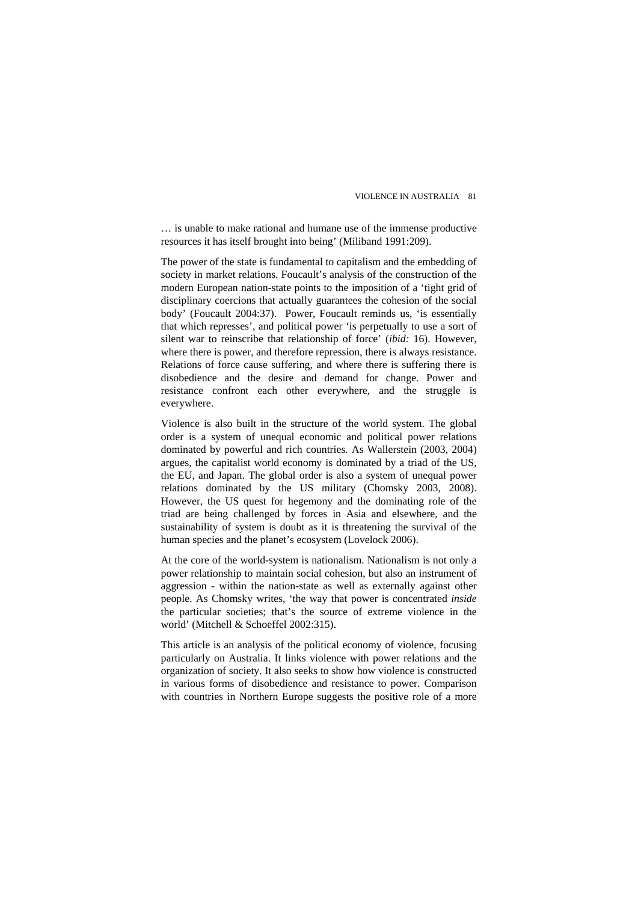… is unable to make rational and humane use of the immense productive resources it has itself brought into being' (Miliband 1991:209).

The power of the state is fundamental to capitalism and the embedding of society in market relations. Foucault's analysis of the construction of the modern European nation-state points to the imposition of a 'tight grid of disciplinary coercions that actually guarantees the cohesion of the social body' (Foucault 2004:37). Power, Foucault reminds us, 'is essentially that which represses', and political power 'is perpetually to use a sort of silent war to reinscribe that relationship of force' (*ibid:* 16). However, where there is power, and therefore repression, there is always resistance. Relations of force cause suffering, and where there is suffering there is disobedience and the desire and demand for change. Power and resistance confront each other everywhere, and the struggle is everywhere.

Violence is also built in the structure of the world system. The global order is a system of unequal economic and political power relations dominated by powerful and rich countries. As Wallerstein (2003, 2004) argues, the capitalist world economy is dominated by a triad of the US, the EU, and Japan. The global order is also a system of unequal power relations dominated by the US military (Chomsky 2003, 2008). However, the US quest for hegemony and the dominating role of the triad are being challenged by forces in Asia and elsewhere, and the sustainability of system is doubt as it is threatening the survival of the human species and the planet's ecosystem (Lovelock 2006).

At the core of the world-system is nationalism. Nationalism is not only a power relationship to maintain social cohesion, but also an instrument of aggression - within the nation-state as well as externally against other people. As Chomsky writes, 'the way that power is concentrated *inside* the particular societies; that's the source of extreme violence in the world' (Mitchell & Schoeffel 2002:315).

This article is an analysis of the political economy of violence, focusing particularly on Australia. It links violence with power relations and the organization of society. It also seeks to show how violence is constructed in various forms of disobedience and resistance to power. Comparison with countries in Northern Europe suggests the positive role of a more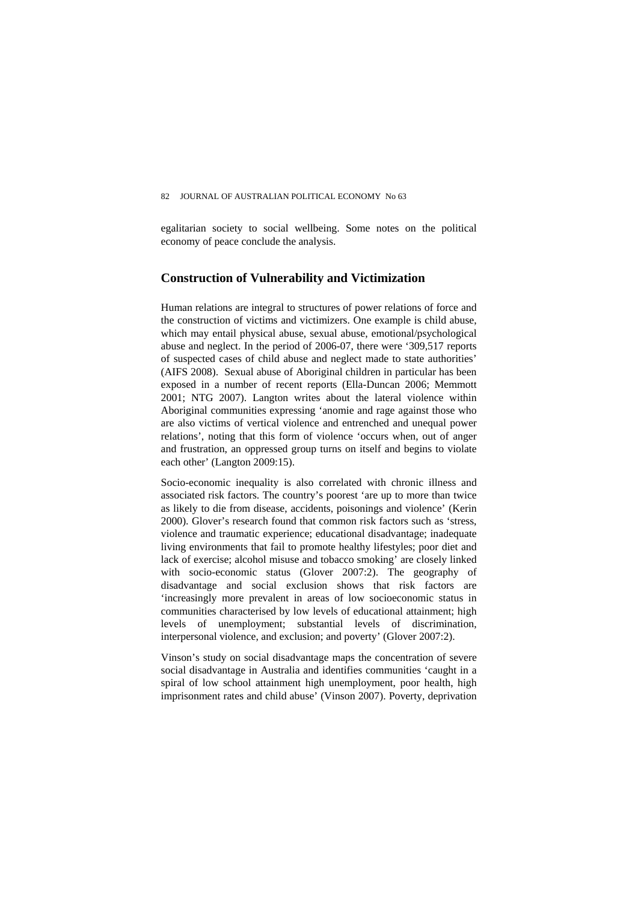egalitarian society to social wellbeing. Some notes on the political economy of peace conclude the analysis.

# **Construction of Vulnerability and Victimization**

Human relations are integral to structures of power relations of force and the construction of victims and victimizers. One example is child abuse, which may entail physical abuse, sexual abuse, emotional/psychological abuse and neglect. In the period of 2006-07, there were '309,517 reports of suspected cases of child abuse and neglect made to state authorities' (AIFS 2008). Sexual abuse of Aboriginal children in particular has been exposed in a number of recent reports (Ella-Duncan 2006; Memmott 2001; NTG 2007). Langton writes about the lateral violence within Aboriginal communities expressing 'anomie and rage against those who are also victims of vertical violence and entrenched and unequal power relations', noting that this form of violence 'occurs when, out of anger and frustration, an oppressed group turns on itself and begins to violate each other' (Langton 2009:15).

Socio-economic inequality is also correlated with chronic illness and associated risk factors. The country's poorest 'are up to more than twice as likely to die from disease, accidents, poisonings and violence' (Kerin 2000). Glover's research found that common risk factors such as 'stress, violence and traumatic experience; educational disadvantage; inadequate living environments that fail to promote healthy lifestyles; poor diet and lack of exercise; alcohol misuse and tobacco smoking' are closely linked with socio-economic status (Glover 2007:2). The geography of disadvantage and social exclusion shows that risk factors are 'increasingly more prevalent in areas of low socioeconomic status in communities characterised by low levels of educational attainment; high levels of unemployment; substantial levels of discrimination, interpersonal violence, and exclusion; and poverty' (Glover 2007:2).

Vinson's study on social disadvantage maps the concentration of severe social disadvantage in Australia and identifies communities 'caught in a spiral of low school attainment high unemployment, poor health, high imprisonment rates and child abuse' (Vinson 2007). Poverty, deprivation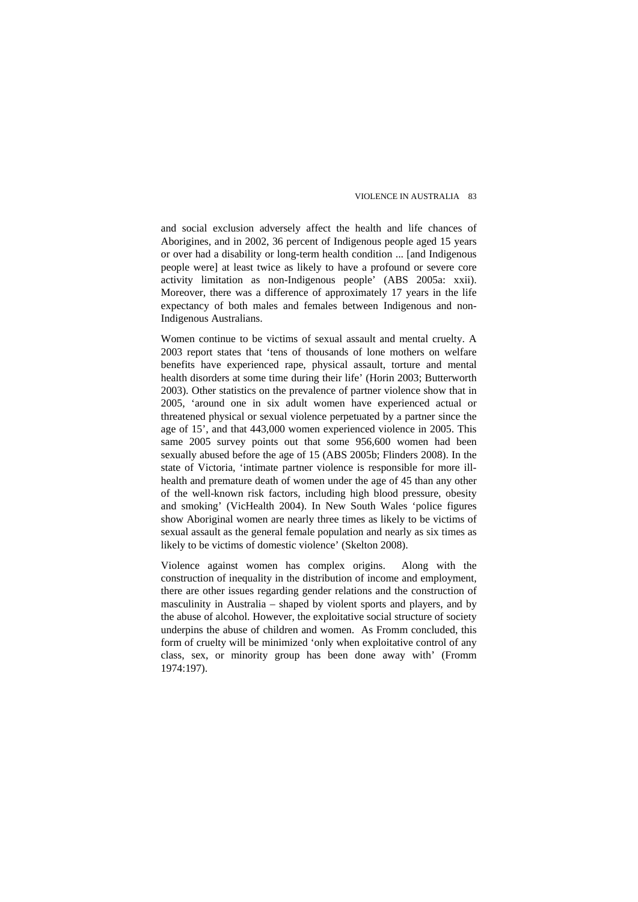and social exclusion adversely affect the health and life chances of Aborigines, and in 2002, 36 percent of Indigenous people aged 15 years or over had a disability or long-term health condition ... [and Indigenous people were] at least twice as likely to have a profound or severe core activity limitation as non-Indigenous people' (ABS 2005a: xxii). Moreover, there was a difference of approximately 17 years in the life expectancy of both males and females between Indigenous and non-Indigenous Australians.

Women continue to be victims of sexual assault and mental cruelty. A 2003 report states that 'tens of thousands of lone mothers on welfare benefits have experienced rape, physical assault, torture and mental health disorders at some time during their life' (Horin 2003; Butterworth 2003). Other statistics on the prevalence of partner violence show that in 2005, 'around one in six adult women have experienced actual or threatened physical or sexual violence perpetuated by a partner since the age of 15', and that 443,000 women experienced violence in 2005. This same 2005 survey points out that some 956,600 women had been sexually abused before the age of 15 (ABS 2005b; Flinders 2008). In the state of Victoria, 'intimate partner violence is responsible for more illhealth and premature death of women under the age of 45 than any other of the well-known risk factors, including high blood pressure, obesity and smoking' (VicHealth 2004). In New South Wales 'police figures show Aboriginal women are nearly three times as likely to be victims of sexual assault as the general female population and nearly as six times as likely to be victims of domestic violence' (Skelton 2008).

Violence against women has complex origins. Along with the construction of inequality in the distribution of income and employment, there are other issues regarding gender relations and the construction of masculinity in Australia – shaped by violent sports and players, and by the abuse of alcohol. However, the exploitative social structure of society underpins the abuse of children and women. As Fromm concluded, this form of cruelty will be minimized 'only when exploitative control of any class, sex, or minority group has been done away with' (Fromm 1974:197).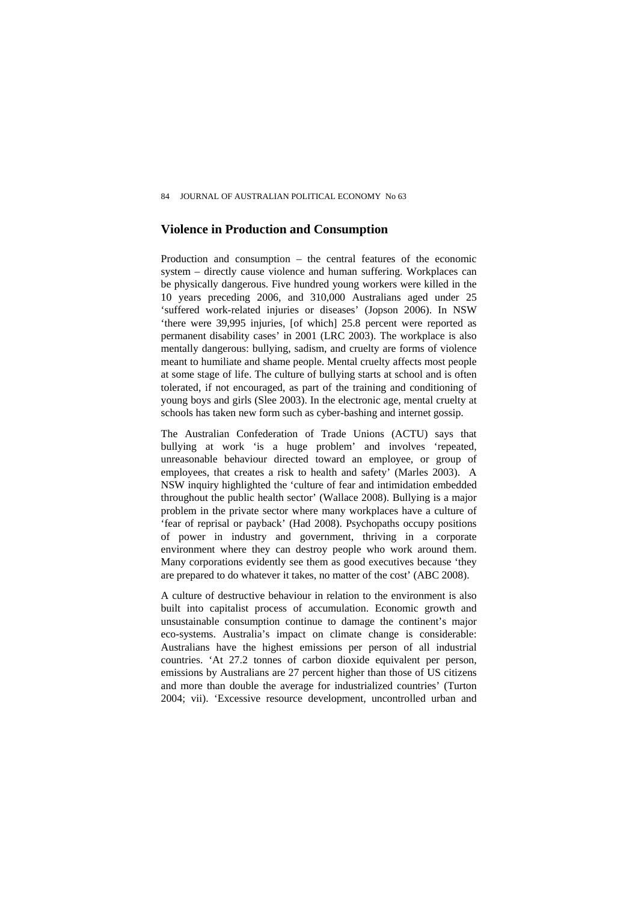#### **Violence in Production and Consumption**

Production and consumption – the central features of the economic system – directly cause violence and human suffering. Workplaces can be physically dangerous. Five hundred young workers were killed in the 10 years preceding 2006, and 310,000 Australians aged under 25 'suffered work-related injuries or diseases' (Jopson 2006). In NSW 'there were 39,995 injuries, [of which] 25.8 percent were reported as permanent disability cases' in 2001 (LRC 2003). The workplace is also mentally dangerous: bullying, sadism, and cruelty are forms of violence meant to humiliate and shame people. Mental cruelty affects most people at some stage of life. The culture of bullying starts at school and is often tolerated, if not encouraged, as part of the training and conditioning of young boys and girls (Slee 2003). In the electronic age, mental cruelty at schools has taken new form such as cyber-bashing and internet gossip.

The Australian Confederation of Trade Unions (ACTU) says that bullying at work 'is a huge problem' and involves 'repeated, unreasonable behaviour directed toward an employee, or group of employees, that creates a risk to health and safety' (Marles 2003). A NSW inquiry highlighted the 'culture of fear and intimidation embedded throughout the public health sector' (Wallace 2008). Bullying is a major problem in the private sector where many workplaces have a culture of 'fear of reprisal or payback' (Had 2008). Psychopaths occupy positions of power in industry and government, thriving in a corporate environment where they can destroy people who work around them. Many corporations evidently see them as good executives because 'they are prepared to do whatever it takes, no matter of the cost' (ABC 2008).

A culture of destructive behaviour in relation to the environment is also built into capitalist process of accumulation. Economic growth and unsustainable consumption continue to damage the continent's major eco-systems. Australia's impact on climate change is considerable: Australians have the highest emissions per person of all industrial countries. 'At 27.2 tonnes of carbon dioxide equivalent per person, emissions by Australians are 27 percent higher than those of US citizens and more than double the average for industrialized countries' (Turton 2004; vii). 'Excessive resource development, uncontrolled urban and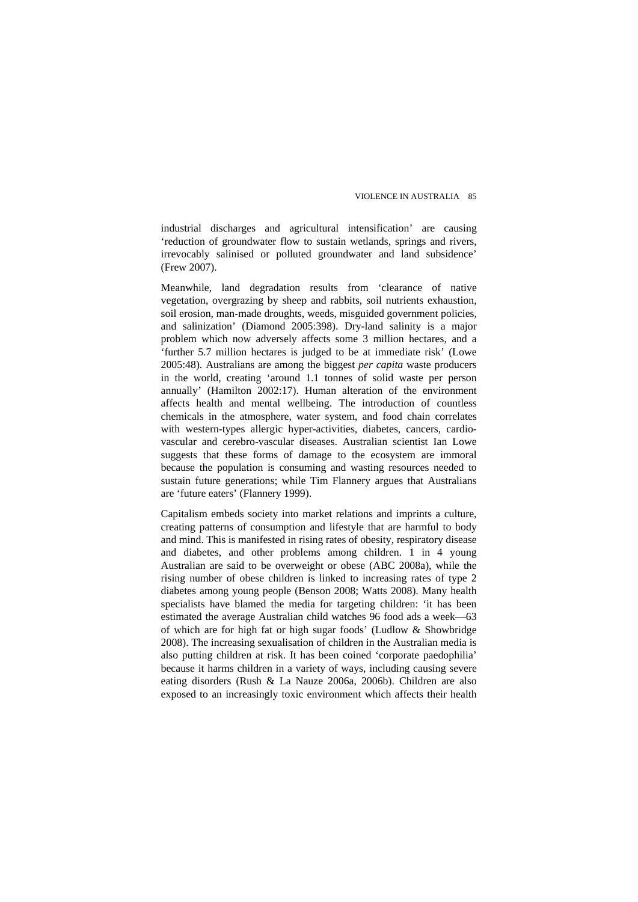industrial discharges and agricultural intensification' are causing 'reduction of groundwater flow to sustain wetlands, springs and rivers, irrevocably salinised or polluted groundwater and land subsidence' (Frew 2007).

Meanwhile, land degradation results from 'clearance of native vegetation, overgrazing by sheep and rabbits, soil nutrients exhaustion, soil erosion, man-made droughts, weeds, misguided government policies, and salinization' (Diamond 2005:398). Dry-land salinity is a major problem which now adversely affects some 3 million hectares, and a 'further 5.7 million hectares is judged to be at immediate risk' (Lowe 2005:48). Australians are among the biggest *per capita* waste producers in the world, creating 'around 1.1 tonnes of solid waste per person annually' (Hamilton 2002:17). Human alteration of the environment affects health and mental wellbeing. The introduction of countless chemicals in the atmosphere, water system, and food chain correlates with western-types allergic hyper-activities, diabetes, cancers, cardiovascular and cerebro-vascular diseases. Australian scientist Ian Lowe suggests that these forms of damage to the ecosystem are immoral because the population is consuming and wasting resources needed to sustain future generations; while Tim Flannery argues that Australians are 'future eaters' (Flannery 1999).

Capitalism embeds society into market relations and imprints a culture, creating patterns of consumption and lifestyle that are harmful to body and mind. This is manifested in rising rates of obesity, respiratory disease and diabetes, and other problems among children. 1 in 4 young Australian are said to be overweight or obese (ABC 2008a), while the rising number of obese children is linked to increasing rates of type 2 diabetes among young people (Benson 2008; Watts 2008). Many health specialists have blamed the media for targeting children: 'it has been estimated the average Australian child watches 96 food ads a week––63 of which are for high fat or high sugar foods' (Ludlow & Showbridge 2008). The increasing sexualisation of children in the Australian media is also putting children at risk. It has been coined 'corporate paedophilia' because it harms children in a variety of ways, including causing severe eating disorders (Rush & La Nauze 2006a, 2006b). Children are also exposed to an increasingly toxic environment which affects their health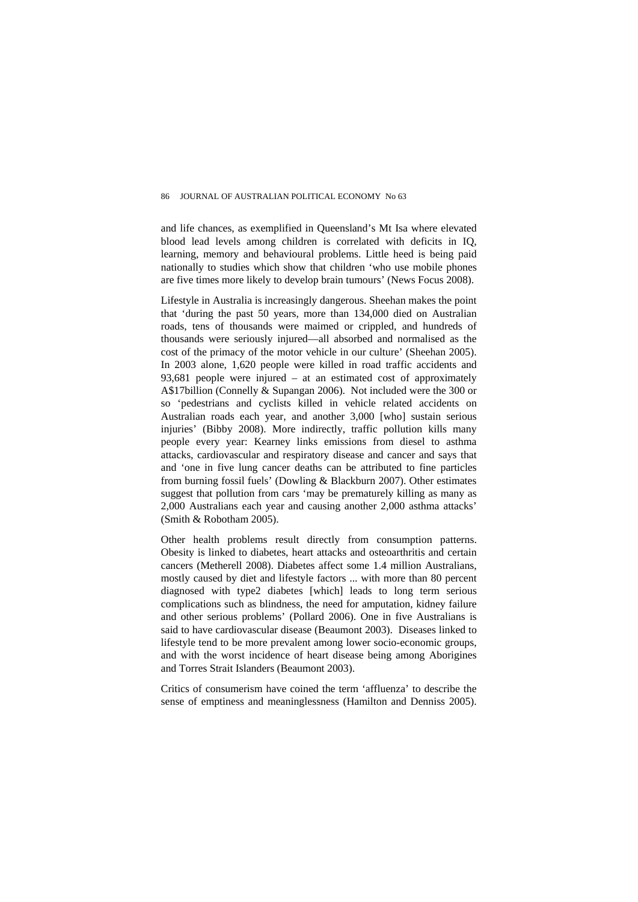and life chances, as exemplified in Queensland's Mt Isa where elevated blood lead levels among children is correlated with deficits in IQ, learning, memory and behavioural problems. Little heed is being paid nationally to studies which show that children 'who use mobile phones are five times more likely to develop brain tumours' (News Focus 2008).

Lifestyle in Australia is increasingly dangerous. Sheehan makes the point that 'during the past 50 years, more than 134,000 died on Australian roads, tens of thousands were maimed or crippled, and hundreds of thousands were seriously injured—all absorbed and normalised as the cost of the primacy of the motor vehicle in our culture' (Sheehan 2005). In 2003 alone, 1,620 people were killed in road traffic accidents and 93,681 people were injured – at an estimated cost of approximately A\$17billion (Connelly & Supangan 2006). Not included were the 300 or so 'pedestrians and cyclists killed in vehicle related accidents on Australian roads each year, and another 3,000 [who] sustain serious injuries' (Bibby 2008). More indirectly, traffic pollution kills many people every year: Kearney links emissions from diesel to asthma attacks, cardiovascular and respiratory disease and cancer and says that and 'one in five lung cancer deaths can be attributed to fine particles from burning fossil fuels' (Dowling & Blackburn 2007). Other estimates suggest that pollution from cars 'may be prematurely killing as many as 2,000 Australians each year and causing another 2,000 asthma attacks' (Smith & Robotham 2005).

Other health problems result directly from consumption patterns. Obesity is linked to diabetes, heart attacks and osteoarthritis and certain cancers (Metherell 2008). Diabetes affect some 1.4 million Australians, mostly caused by diet and lifestyle factors ... with more than 80 percent diagnosed with type2 diabetes [which] leads to long term serious complications such as blindness, the need for amputation, kidney failure and other serious problems' (Pollard 2006). One in five Australians is said to have cardiovascular disease (Beaumont 2003). Diseases linked to lifestyle tend to be more prevalent among lower socio-economic groups, and with the worst incidence of heart disease being among Aborigines and Torres Strait Islanders (Beaumont 2003).

Critics of consumerism have coined the term 'affluenza' to describe the sense of emptiness and meaninglessness (Hamilton and Denniss 2005).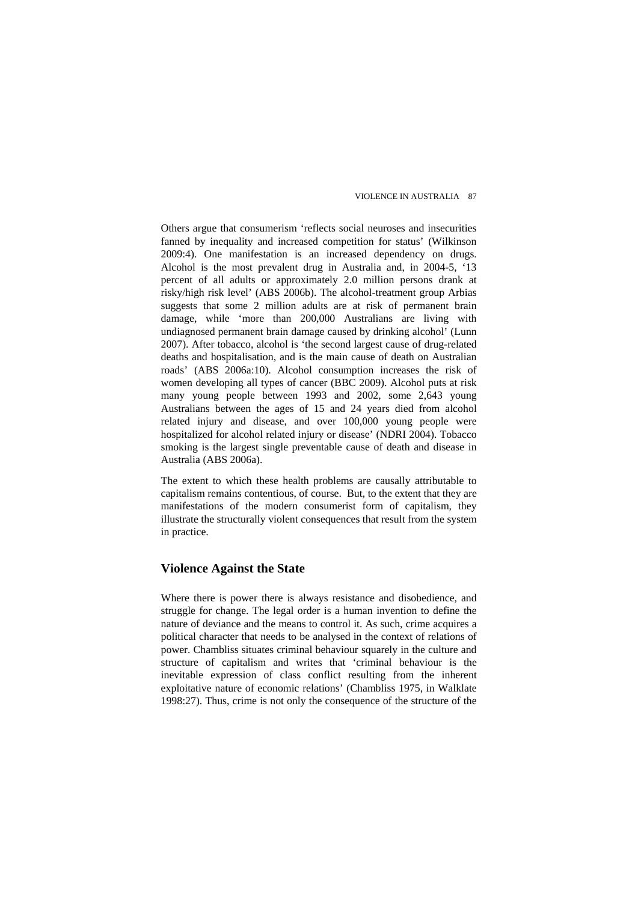Others argue that consumerism 'reflects social neuroses and insecurities fanned by inequality and increased competition for status' (Wilkinson 2009:4). One manifestation is an increased dependency on drugs. Alcohol is the most prevalent drug in Australia and, in 2004-5, '13 percent of all adults or approximately 2.0 million persons drank at risky/high risk level' (ABS 2006b). The alcohol-treatment group Arbias suggests that some 2 million adults are at risk of permanent brain damage, while 'more than 200,000 Australians are living with undiagnosed permanent brain damage caused by drinking alcohol' (Lunn 2007). After tobacco, alcohol is 'the second largest cause of drug-related deaths and hospitalisation, and is the main cause of death on Australian roads' (ABS 2006a:10). Alcohol consumption increases the risk of women developing all types of cancer (BBC 2009). Alcohol puts at risk many young people between 1993 and 2002, some 2,643 young Australians between the ages of 15 and 24 years died from alcohol related injury and disease, and over 100,000 young people were hospitalized for alcohol related injury or disease' (NDRI 2004). Tobacco smoking is the largest single preventable cause of death and disease in Australia (ABS 2006a).

The extent to which these health problems are causally attributable to capitalism remains contentious, of course. But, to the extent that they are manifestations of the modern consumerist form of capitalism, they illustrate the structurally violent consequences that result from the system in practice.

## **Violence Against the State**

Where there is power there is always resistance and disobedience, and struggle for change. The legal order is a human invention to define the nature of deviance and the means to control it. As such, crime acquires a political character that needs to be analysed in the context of relations of power. Chambliss situates criminal behaviour squarely in the culture and structure of capitalism and writes that 'criminal behaviour is the inevitable expression of class conflict resulting from the inherent exploitative nature of economic relations' (Chambliss 1975, in Walklate 1998:27). Thus, crime is not only the consequence of the structure of the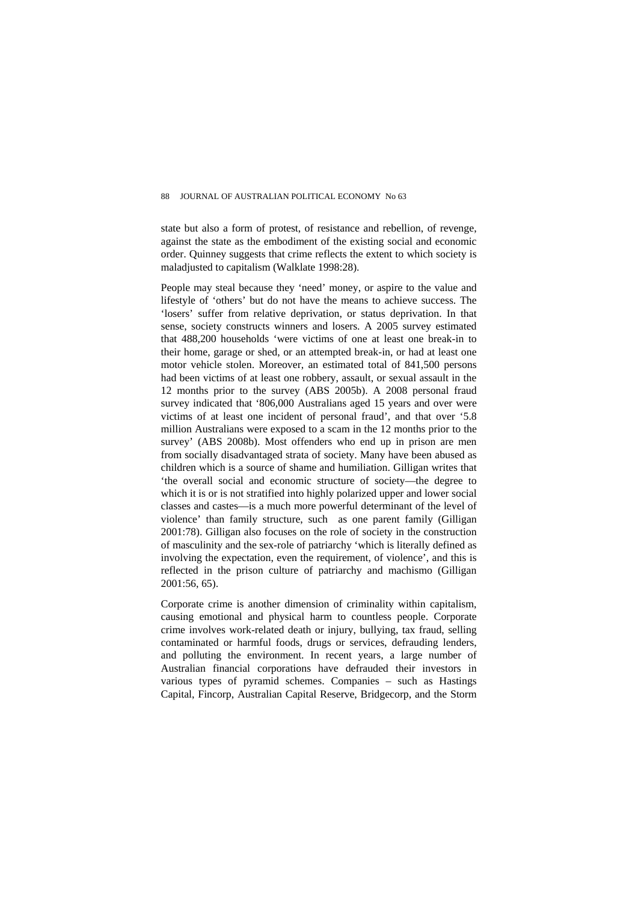state but also a form of protest, of resistance and rebellion, of revenge, against the state as the embodiment of the existing social and economic order. Quinney suggests that crime reflects the extent to which society is maladjusted to capitalism (Walklate 1998:28).

People may steal because they 'need' money, or aspire to the value and lifestyle of 'others' but do not have the means to achieve success. The 'losers' suffer from relative deprivation, or status deprivation. In that sense, society constructs winners and losers. A 2005 survey estimated that 488,200 households 'were victims of one at least one break-in to their home, garage or shed, or an attempted break-in, or had at least one motor vehicle stolen. Moreover, an estimated total of 841,500 persons had been victims of at least one robbery, assault, or sexual assault in the 12 months prior to the survey (ABS 2005b). A 2008 personal fraud survey indicated that '806,000 Australians aged 15 years and over were victims of at least one incident of personal fraud', and that over '5.8 million Australians were exposed to a scam in the 12 months prior to the survey' (ABS 2008b). Most offenders who end up in prison are men from socially disadvantaged strata of society. Many have been abused as children which is a source of shame and humiliation. Gilligan writes that 'the overall social and economic structure of society—the degree to which it is or is not stratified into highly polarized upper and lower social classes and castes—is a much more powerful determinant of the level of violence' than family structure, such as one parent family (Gilligan 2001:78). Gilligan also focuses on the role of society in the construction of masculinity and the sex-role of patriarchy 'which is literally defined as involving the expectation, even the requirement, of violence', and this is reflected in the prison culture of patriarchy and machismo (Gilligan 2001:56, 65).

Corporate crime is another dimension of criminality within capitalism, causing emotional and physical harm to countless people. Corporate crime involves work-related death or injury, bullying, tax fraud, selling contaminated or harmful foods, drugs or services, defrauding lenders, and polluting the environment. In recent years, a large number of Australian financial corporations have defrauded their investors in various types of pyramid schemes. Companies – such as Hastings Capital, Fincorp, Australian Capital Reserve, Bridgecorp, and the Storm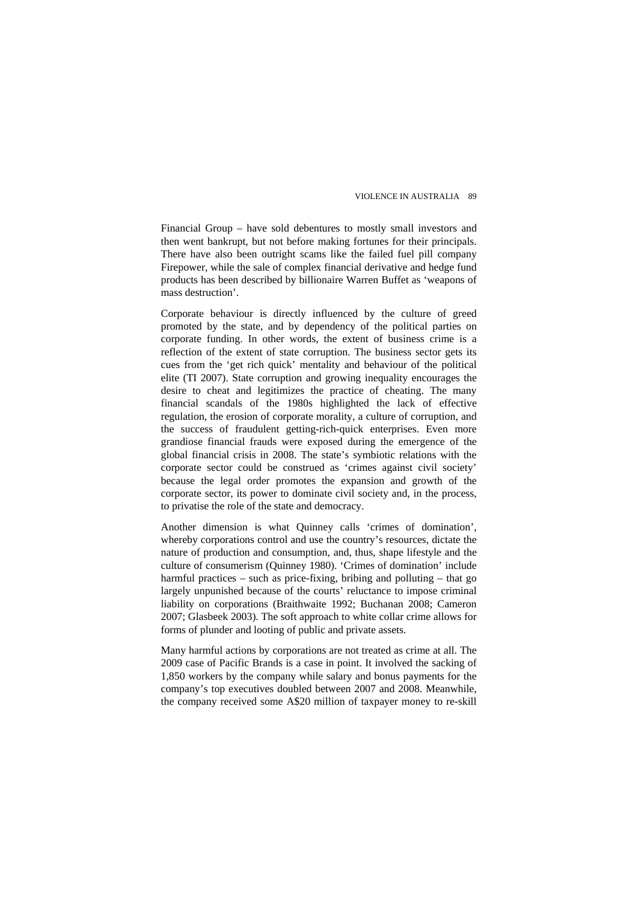Financial Group – have sold debentures to mostly small investors and then went bankrupt, but not before making fortunes for their principals. There have also been outright scams like the failed fuel pill company Firepower, while the sale of complex financial derivative and hedge fund products has been described by billionaire Warren Buffet as 'weapons of mass destruction'.

Corporate behaviour is directly influenced by the culture of greed promoted by the state, and by dependency of the political parties on corporate funding. In other words, the extent of business crime is a reflection of the extent of state corruption. The business sector gets its cues from the 'get rich quick' mentality and behaviour of the political elite (TI 2007). State corruption and growing inequality encourages the desire to cheat and legitimizes the practice of cheating. The many financial scandals of the 1980s highlighted the lack of effective regulation, the erosion of corporate morality, a culture of corruption, and the success of fraudulent getting-rich-quick enterprises. Even more grandiose financial frauds were exposed during the emergence of the global financial crisis in 2008. The state's symbiotic relations with the corporate sector could be construed as 'crimes against civil society' because the legal order promotes the expansion and growth of the corporate sector, its power to dominate civil society and, in the process, to privatise the role of the state and democracy.

Another dimension is what Quinney calls 'crimes of domination', whereby corporations control and use the country's resources, dictate the nature of production and consumption, and, thus, shape lifestyle and the culture of consumerism (Quinney 1980). 'Crimes of domination' include harmful practices – such as price-fixing, bribing and polluting – that go largely unpunished because of the courts' reluctance to impose criminal liability on corporations (Braithwaite 1992; Buchanan 2008; Cameron 2007; Glasbeek 2003). The soft approach to white collar crime allows for forms of plunder and looting of public and private assets.

Many harmful actions by corporations are not treated as crime at all. The 2009 case of Pacific Brands is a case in point. It involved the sacking of 1,850 workers by the company while salary and bonus payments for the company's top executives doubled between 2007 and 2008. Meanwhile, the company received some A\$20 million of taxpayer money to re-skill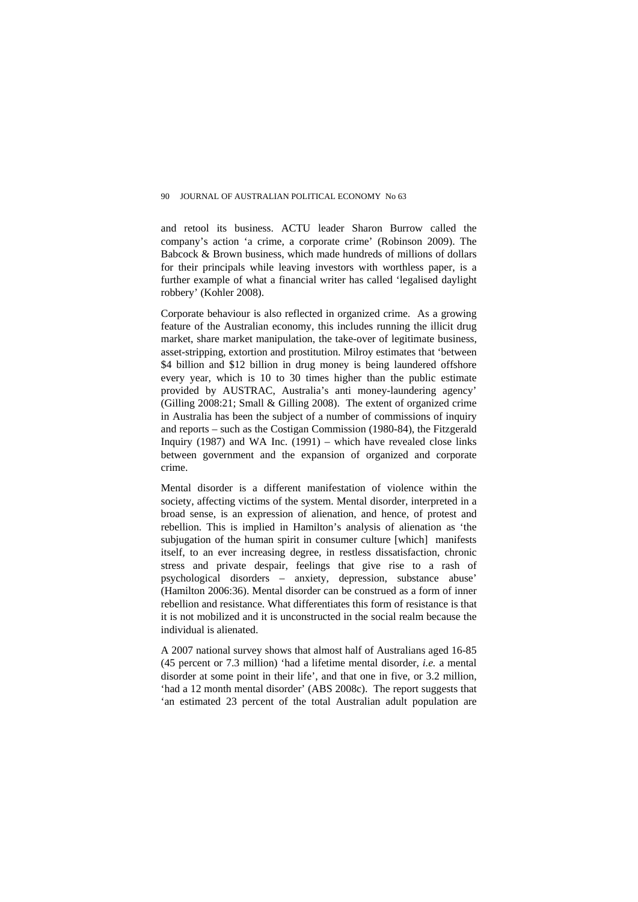and retool its business. ACTU leader Sharon Burrow called the company's action 'a crime, a corporate crime' (Robinson 2009). The Babcock & Brown business, which made hundreds of millions of dollars for their principals while leaving investors with worthless paper, is a further example of what a financial writer has called 'legalised daylight robbery' (Kohler 2008).

Corporate behaviour is also reflected in organized crime. As a growing feature of the Australian economy, this includes running the illicit drug market, share market manipulation, the take-over of legitimate business, asset-stripping, extortion and prostitution. Milroy estimates that 'between \$4 billion and \$12 billion in drug money is being laundered offshore every year, which is 10 to 30 times higher than the public estimate provided by AUSTRAC, Australia's anti money-laundering agency' (Gilling 2008:21; Small & Gilling 2008). The extent of organized crime in Australia has been the subject of a number of commissions of inquiry and reports – such as the Costigan Commission (1980-84), the Fitzgerald Inquiry (1987) and WA Inc. (1991) – which have revealed close links between government and the expansion of organized and corporate crime.

Mental disorder is a different manifestation of violence within the society, affecting victims of the system. Mental disorder, interpreted in a broad sense, is an expression of alienation, and hence, of protest and rebellion. This is implied in Hamilton's analysis of alienation as 'the subjugation of the human spirit in consumer culture [which] manifests itself, to an ever increasing degree, in restless dissatisfaction, chronic stress and private despair, feelings that give rise to a rash of psychological disorders – anxiety, depression, substance abuse' (Hamilton 2006:36). Mental disorder can be construed as a form of inner rebellion and resistance. What differentiates this form of resistance is that it is not mobilized and it is unconstructed in the social realm because the individual is alienated.

A 2007 national survey shows that almost half of Australians aged 16-85 (45 percent or 7.3 million) 'had a lifetime mental disorder, *i.e.* a mental disorder at some point in their life', and that one in five, or 3.2 million, 'had a 12 month mental disorder' (ABS 2008c). The report suggests that 'an estimated 23 percent of the total Australian adult population are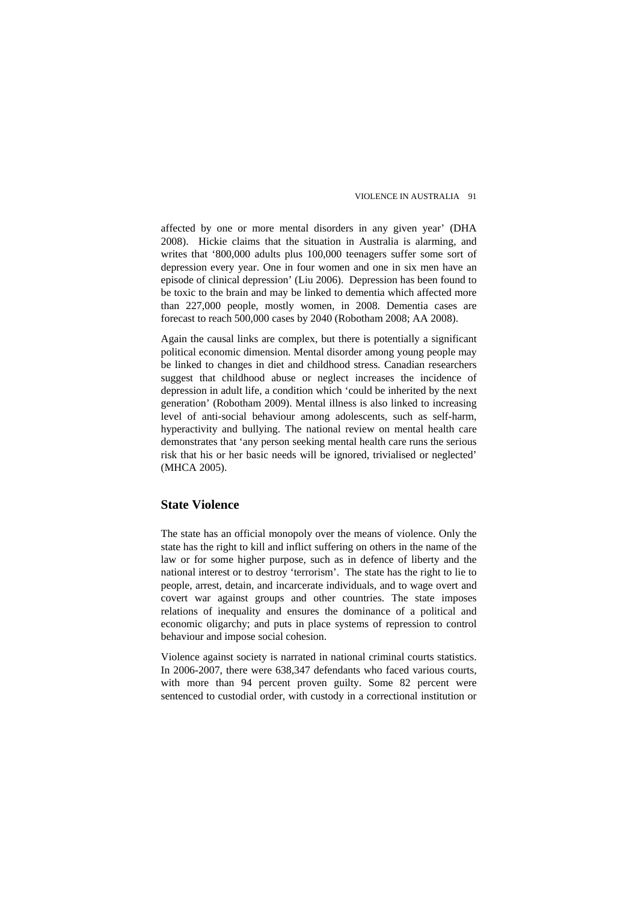affected by one or more mental disorders in any given year' (DHA 2008). Hickie claims that the situation in Australia is alarming, and writes that '800,000 adults plus 100,000 teenagers suffer some sort of depression every year. One in four women and one in six men have an episode of clinical depression' (Liu 2006). Depression has been found to be toxic to the brain and may be linked to dementia which affected more than 227,000 people, mostly women, in 2008. Dementia cases are forecast to reach 500,000 cases by 2040 (Robotham 2008; AA 2008).

Again the causal links are complex, but there is potentially a significant political economic dimension. Mental disorder among young people may be linked to changes in diet and childhood stress. Canadian researchers suggest that childhood abuse or neglect increases the incidence of depression in adult life, a condition which 'could be inherited by the next generation' (Robotham 2009). Mental illness is also linked to increasing level of anti-social behaviour among adolescents, such as self-harm, hyperactivity and bullying. The national review on mental health care demonstrates that 'any person seeking mental health care runs the serious risk that his or her basic needs will be ignored, trivialised or neglected' (MHCA 2005).

#### **State Violence**

The state has an official monopoly over the means of violence. Only the state has the right to kill and inflict suffering on others in the name of the law or for some higher purpose, such as in defence of liberty and the national interest or to destroy 'terrorism'. The state has the right to lie to people, arrest, detain, and incarcerate individuals, and to wage overt and covert war against groups and other countries. The state imposes relations of inequality and ensures the dominance of a political and economic oligarchy; and puts in place systems of repression to control behaviour and impose social cohesion.

Violence against society is narrated in national criminal courts statistics. In 2006-2007, there were 638,347 defendants who faced various courts, with more than 94 percent proven guilty. Some 82 percent were sentenced to custodial order, with custody in a correctional institution or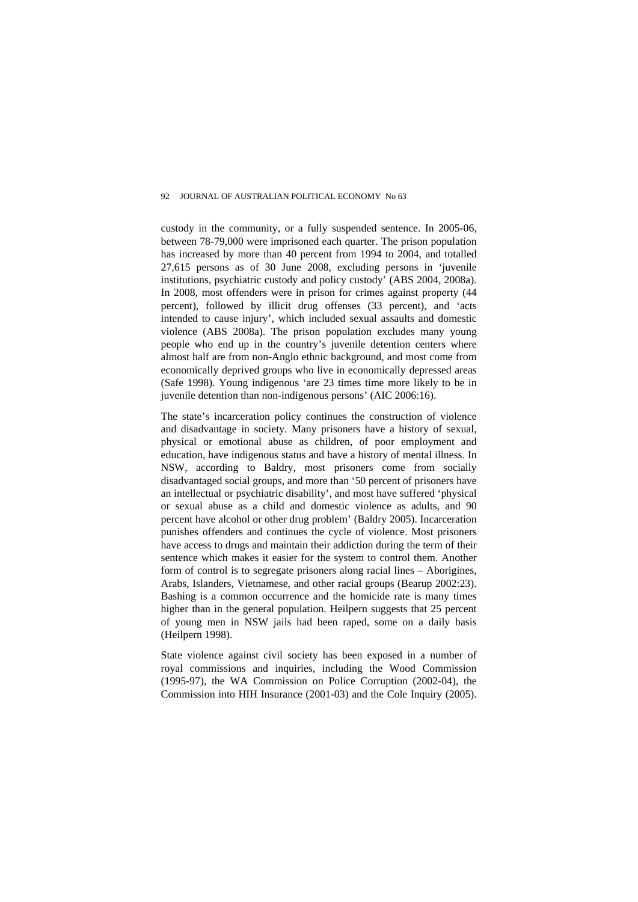custody in the community, or a fully suspended sentence. In 2005-06, between 78-79,000 were imprisoned each quarter. The prison population has increased by more than 40 percent from 1994 to 2004, and totalled 27,615 persons as of 30 June 2008, excluding persons in 'juvenile institutions, psychiatric custody and policy custody' (ABS 2004, 2008a). In 2008, most offenders were in prison for crimes against property (44 percent), followed by illicit drug offenses (33 percent), and 'acts intended to cause injury', which included sexual assaults and domestic violence (ABS 2008a). The prison population excludes many young people who end up in the country's juvenile detention centers where almost half are from non-Anglo ethnic background, and most come from economically deprived groups who live in economically depressed areas (Safe 1998). Young indigenous 'are 23 times time more likely to be in juvenile detention than non-indigenous persons' (AIC 2006:16).

The state's incarceration policy continues the construction of violence and disadvantage in society. Many prisoners have a history of sexual, physical or emotional abuse as children, of poor employment and education, have indigenous status and have a history of mental illness. In NSW, according to Baldry, most prisoners come from socially disadvantaged social groups, and more than '50 percent of prisoners have an intellectual or psychiatric disability', and most have suffered 'physical or sexual abuse as a child and domestic violence as adults, and 90 percent have alcohol or other drug problem' (Baldry 2005). Incarceration punishes offenders and continues the cycle of violence. Most prisoners have access to drugs and maintain their addiction during the term of their sentence which makes it easier for the system to control them. Another form of control is to segregate prisoners along racial lines – Aborigines, Arabs, Islanders, Vietnamese, and other racial groups (Bearup 2002:23). Bashing is a common occurrence and the homicide rate is many times higher than in the general population. Heilpern suggests that 25 percent of young men in NSW jails had been raped, some on a daily basis (Heilpern 1998).

State violence against civil society has been exposed in a number of royal commissions and inquiries, including the Wood Commission (1995-97), the WA Commission on Police Corruption (2002-04), the Commission into HIH Insurance (2001-03) and the Cole Inquiry (2005).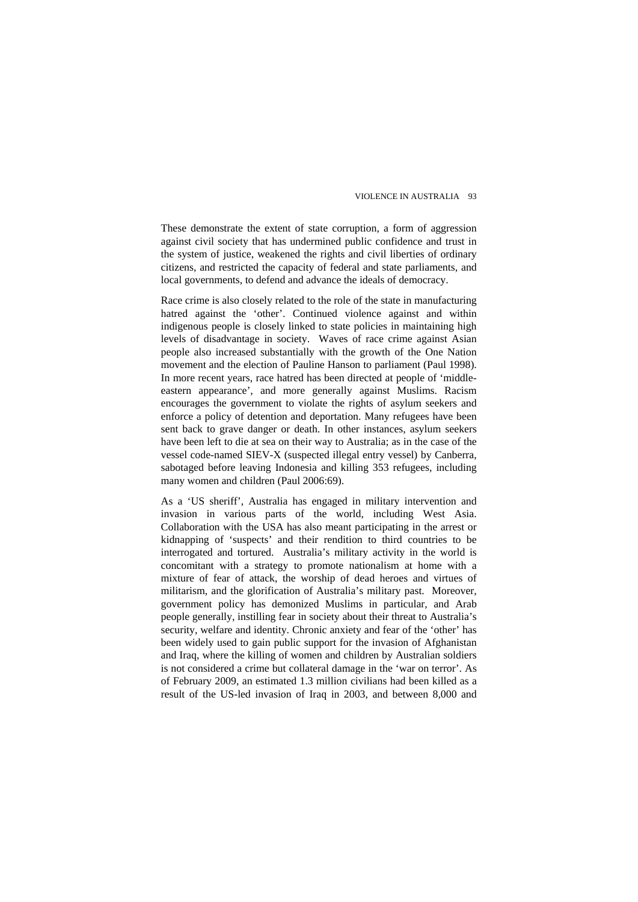These demonstrate the extent of state corruption, a form of aggression against civil society that has undermined public confidence and trust in the system of justice, weakened the rights and civil liberties of ordinary citizens, and restricted the capacity of federal and state parliaments, and local governments, to defend and advance the ideals of democracy.

Race crime is also closely related to the role of the state in manufacturing hatred against the 'other'. Continued violence against and within indigenous people is closely linked to state policies in maintaining high levels of disadvantage in society. Waves of race crime against Asian people also increased substantially with the growth of the One Nation movement and the election of Pauline Hanson to parliament (Paul 1998). In more recent years, race hatred has been directed at people of 'middleeastern appearance', and more generally against Muslims. Racism encourages the government to violate the rights of asylum seekers and enforce a policy of detention and deportation. Many refugees have been sent back to grave danger or death. In other instances, asylum seekers have been left to die at sea on their way to Australia; as in the case of the vessel code-named SIEV-X (suspected illegal entry vessel) by Canberra, sabotaged before leaving Indonesia and killing 353 refugees, including many women and children (Paul 2006:69).

As a 'US sheriff', Australia has engaged in military intervention and invasion in various parts of the world, including West Asia. Collaboration with the USA has also meant participating in the arrest or kidnapping of 'suspects' and their rendition to third countries to be interrogated and tortured. Australia's military activity in the world is concomitant with a strategy to promote nationalism at home with a mixture of fear of attack, the worship of dead heroes and virtues of militarism, and the glorification of Australia's military past. Moreover, government policy has demonized Muslims in particular, and Arab people generally, instilling fear in society about their threat to Australia's security, welfare and identity. Chronic anxiety and fear of the 'other' has been widely used to gain public support for the invasion of Afghanistan and Iraq, where the killing of women and children by Australian soldiers is not considered a crime but collateral damage in the 'war on terror'. As of February 2009, an estimated 1.3 million civilians had been killed as a result of the US-led invasion of Iraq in 2003, and between 8,000 and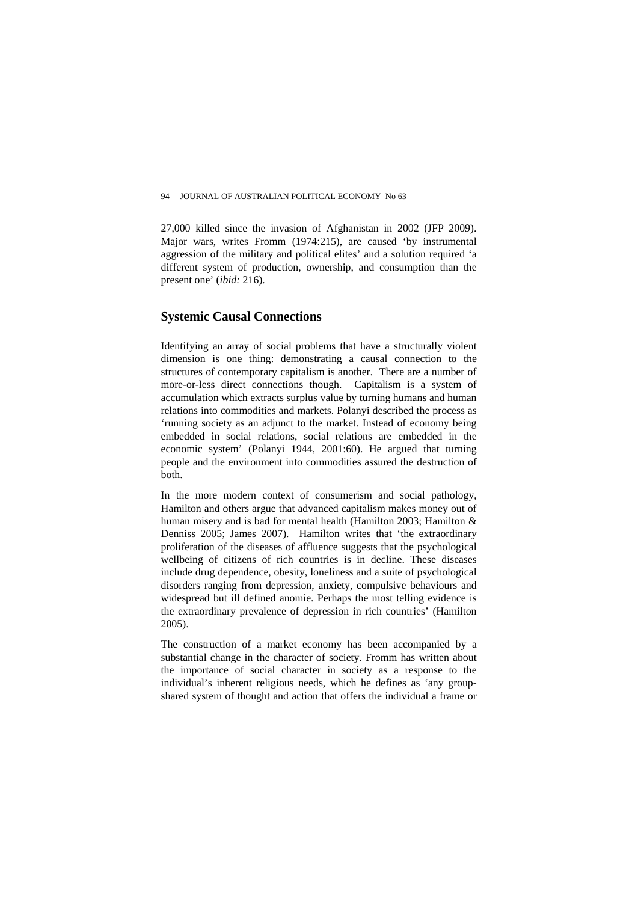27,000 killed since the invasion of Afghanistan in 2002 (JFP 2009). Major wars, writes Fromm (1974:215), are caused 'by instrumental aggression of the military and political elites' and a solution required 'a different system of production, ownership, and consumption than the present one' (*ibid:* 216).

# **Systemic Causal Connections**

Identifying an array of social problems that have a structurally violent dimension is one thing: demonstrating a causal connection to the structures of contemporary capitalism is another. There are a number of more-or-less direct connections though. Capitalism is a system of accumulation which extracts surplus value by turning humans and human relations into commodities and markets. Polanyi described the process as 'running society as an adjunct to the market. Instead of economy being embedded in social relations, social relations are embedded in the economic system' (Polanyi 1944, 2001:60). He argued that turning people and the environment into commodities assured the destruction of both.

In the more modern context of consumerism and social pathology, Hamilton and others argue that advanced capitalism makes money out of human misery and is bad for mental health (Hamilton 2003; Hamilton & Denniss 2005; James 2007). Hamilton writes that 'the extraordinary proliferation of the diseases of affluence suggests that the psychological wellbeing of citizens of rich countries is in decline. These diseases include drug dependence, obesity, loneliness and a suite of psychological disorders ranging from depression, anxiety, compulsive behaviours and widespread but ill defined anomie. Perhaps the most telling evidence is the extraordinary prevalence of depression in rich countries' (Hamilton 2005).

The construction of a market economy has been accompanied by a substantial change in the character of society. Fromm has written about the importance of social character in society as a response to the individual's inherent religious needs, which he defines as 'any groupshared system of thought and action that offers the individual a frame or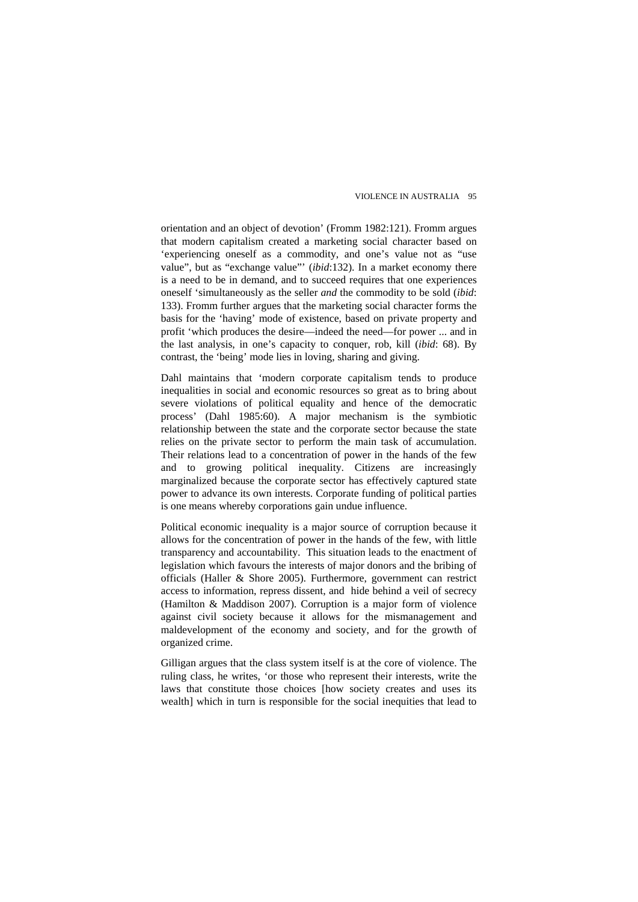orientation and an object of devotion' (Fromm 1982:121). Fromm argues that modern capitalism created a marketing social character based on 'experiencing oneself as a commodity, and one's value not as "use value", but as "exchange value"' (*ibid*:132). In a market economy there is a need to be in demand, and to succeed requires that one experiences oneself 'simultaneously as the seller *and* the commodity to be sold (*ibid*: 133). Fromm further argues that the marketing social character forms the basis for the 'having' mode of existence, based on private property and profit 'which produces the desire—indeed the need—for power ... and in the last analysis, in one's capacity to conquer, rob, kill (*ibid*: 68). By contrast, the 'being' mode lies in loving, sharing and giving.

Dahl maintains that 'modern corporate capitalism tends to produce inequalities in social and economic resources so great as to bring about severe violations of political equality and hence of the democratic process' (Dahl 1985:60). A major mechanism is the symbiotic relationship between the state and the corporate sector because the state relies on the private sector to perform the main task of accumulation. Their relations lead to a concentration of power in the hands of the few and to growing political inequality. Citizens are increasingly marginalized because the corporate sector has effectively captured state power to advance its own interests. Corporate funding of political parties is one means whereby corporations gain undue influence.

Political economic inequality is a major source of corruption because it allows for the concentration of power in the hands of the few, with little transparency and accountability. This situation leads to the enactment of legislation which favours the interests of major donors and the bribing of officials (Haller & Shore 2005). Furthermore, government can restrict access to information, repress dissent, and hide behind a veil of secrecy (Hamilton & Maddison 2007). Corruption is a major form of violence against civil society because it allows for the mismanagement and maldevelopment of the economy and society, and for the growth of organized crime.

Gilligan argues that the class system itself is at the core of violence. The ruling class, he writes, 'or those who represent their interests, write the laws that constitute those choices [how society creates and uses its wealth] which in turn is responsible for the social inequities that lead to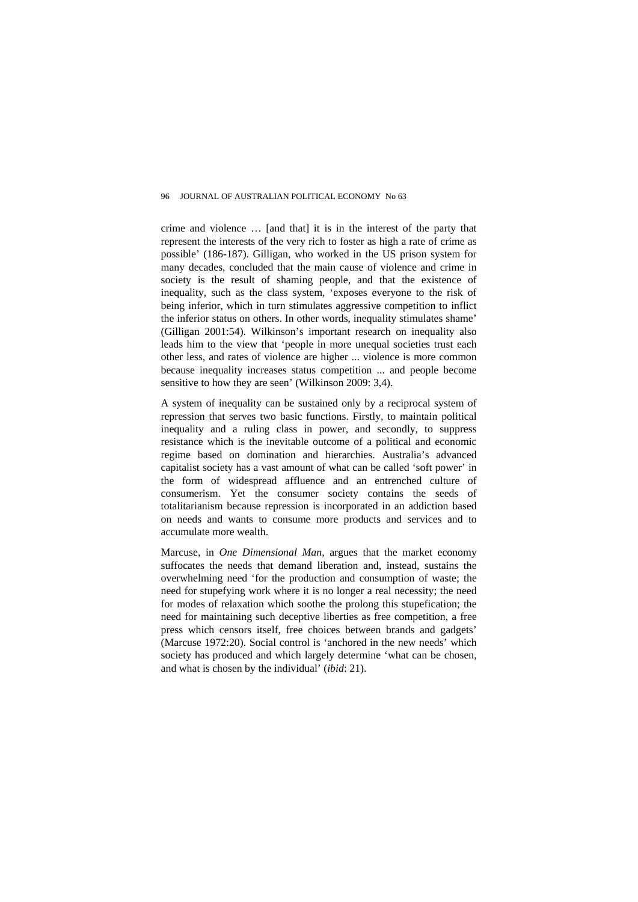crime and violence … [and that] it is in the interest of the party that represent the interests of the very rich to foster as high a rate of crime as possible' (186-187). Gilligan, who worked in the US prison system for many decades, concluded that the main cause of violence and crime in society is the result of shaming people, and that the existence of inequality, such as the class system, 'exposes everyone to the risk of being inferior, which in turn stimulates aggressive competition to inflict the inferior status on others. In other words, inequality stimulates shame' (Gilligan 2001:54). Wilkinson's important research on inequality also leads him to the view that 'people in more unequal societies trust each other less, and rates of violence are higher ... violence is more common because inequality increases status competition ... and people become sensitive to how they are seen' (Wilkinson 2009: 3,4).

A system of inequality can be sustained only by a reciprocal system of repression that serves two basic functions. Firstly, to maintain political inequality and a ruling class in power, and secondly, to suppress resistance which is the inevitable outcome of a political and economic regime based on domination and hierarchies. Australia's advanced capitalist society has a vast amount of what can be called 'soft power' in the form of widespread affluence and an entrenched culture of consumerism. Yet the consumer society contains the seeds of totalitarianism because repression is incorporated in an addiction based on needs and wants to consume more products and services and to accumulate more wealth.

Marcuse, in *One Dimensional Man*, argues that the market economy suffocates the needs that demand liberation and, instead, sustains the overwhelming need 'for the production and consumption of waste; the need for stupefying work where it is no longer a real necessity; the need for modes of relaxation which soothe the prolong this stupefication; the need for maintaining such deceptive liberties as free competition, a free press which censors itself, free choices between brands and gadgets' (Marcuse 1972:20). Social control is 'anchored in the new needs' which society has produced and which largely determine 'what can be chosen, and what is chosen by the individual' (*ibid*: 21).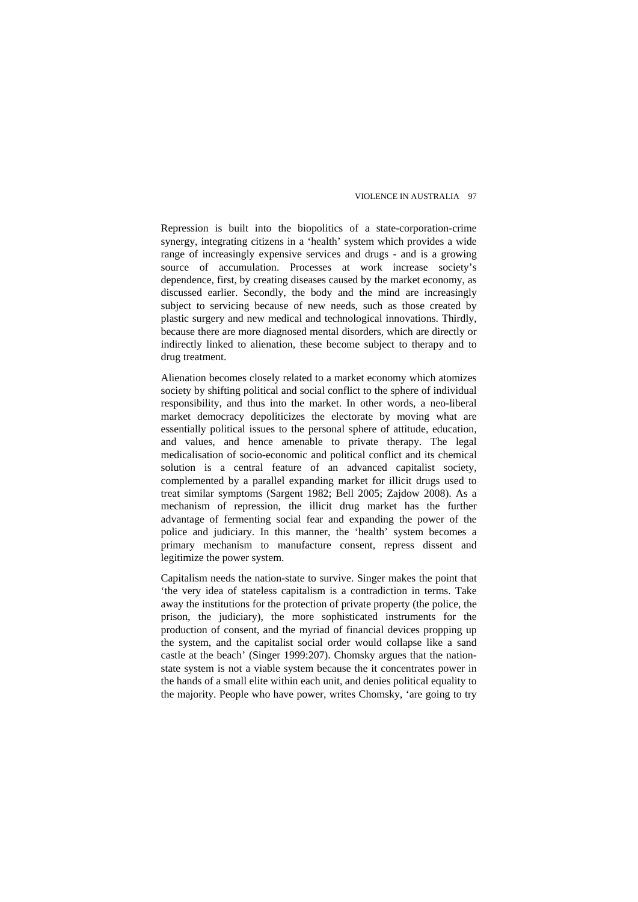Repression is built into the biopolitics of a state-corporation-crime synergy, integrating citizens in a 'health' system which provides a wide range of increasingly expensive services and drugs - and is a growing source of accumulation. Processes at work increase society's dependence, first, by creating diseases caused by the market economy, as discussed earlier. Secondly, the body and the mind are increasingly subject to servicing because of new needs, such as those created by plastic surgery and new medical and technological innovations. Thirdly, because there are more diagnosed mental disorders, which are directly or indirectly linked to alienation, these become subject to therapy and to drug treatment.

Alienation becomes closely related to a market economy which atomizes society by shifting political and social conflict to the sphere of individual responsibility, and thus into the market. In other words, a neo-liberal market democracy depoliticizes the electorate by moving what are essentially political issues to the personal sphere of attitude, education, and values, and hence amenable to private therapy. The legal medicalisation of socio-economic and political conflict and its chemical solution is a central feature of an advanced capitalist society, complemented by a parallel expanding market for illicit drugs used to treat similar symptoms (Sargent 1982; Bell 2005; Zajdow 2008). As a mechanism of repression, the illicit drug market has the further advantage of fermenting social fear and expanding the power of the police and judiciary. In this manner, the 'health' system becomes a primary mechanism to manufacture consent, repress dissent and legitimize the power system.

Capitalism needs the nation-state to survive. Singer makes the point that 'the very idea of stateless capitalism is a contradiction in terms. Take away the institutions for the protection of private property (the police, the prison, the judiciary), the more sophisticated instruments for the production of consent, and the myriad of financial devices propping up the system, and the capitalist social order would collapse like a sand castle at the beach' (Singer 1999:207). Chomsky argues that the nationstate system is not a viable system because the it concentrates power in the hands of a small elite within each unit, and denies political equality to the majority. People who have power, writes Chomsky, 'are going to try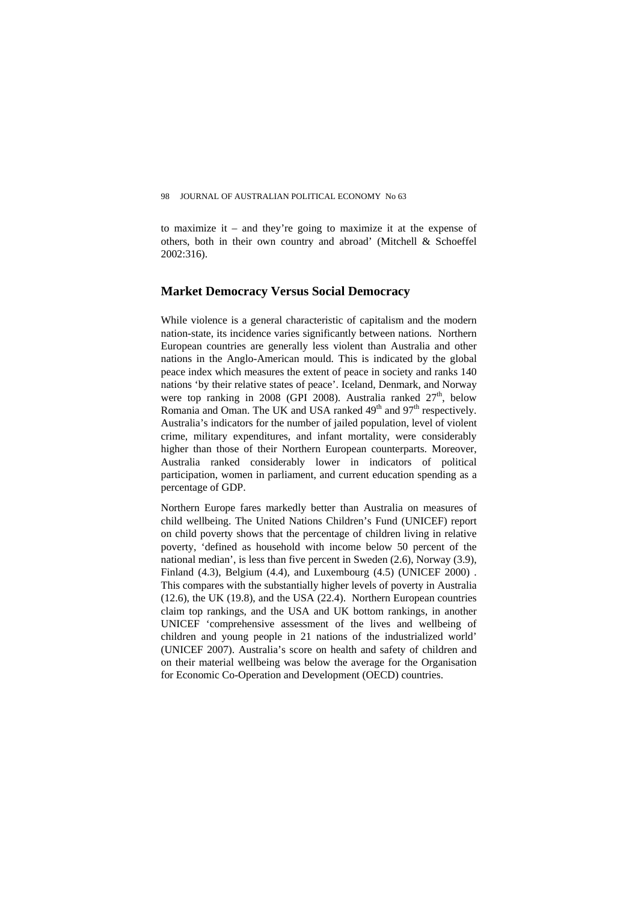to maximize it – and they're going to maximize it at the expense of others, both in their own country and abroad' (Mitchell & Schoeffel 2002:316).

### **Market Democracy Versus Social Democracy**

While violence is a general characteristic of capitalism and the modern nation-state, its incidence varies significantly between nations. Northern European countries are generally less violent than Australia and other nations in the Anglo-American mould. This is indicated by the global peace index which measures the extent of peace in society and ranks 140 nations 'by their relative states of peace'. Iceland, Denmark, and Norway were top ranking in 2008 (GPI 2008). Australia ranked  $27<sup>th</sup>$ , below Romania and Oman. The UK and USA ranked  $49<sup>th</sup>$  and  $97<sup>th</sup>$  respectively. Australia's indicators for the number of jailed population, level of violent crime, military expenditures, and infant mortality, were considerably higher than those of their Northern European counterparts. Moreover, Australia ranked considerably lower in indicators of political participation, women in parliament, and current education spending as a percentage of GDP.

Northern Europe fares markedly better than Australia on measures of child wellbeing. The United Nations Children's Fund (UNICEF) report on child poverty shows that the percentage of children living in relative poverty, 'defined as household with income below 50 percent of the national median', is less than five percent in Sweden (2.6), Norway (3.9), Finland (4.3), Belgium (4.4), and Luxembourg (4.5) (UNICEF 2000) . This compares with the substantially higher levels of poverty in Australia (12.6), the UK (19.8), and the USA (22.4). Northern European countries claim top rankings, and the USA and UK bottom rankings, in another UNICEF 'comprehensive assessment of the lives and wellbeing of children and young people in 21 nations of the industrialized world' (UNICEF 2007). Australia's score on health and safety of children and on their material wellbeing was below the average for the Organisation for Economic Co-Operation and Development (OECD) countries.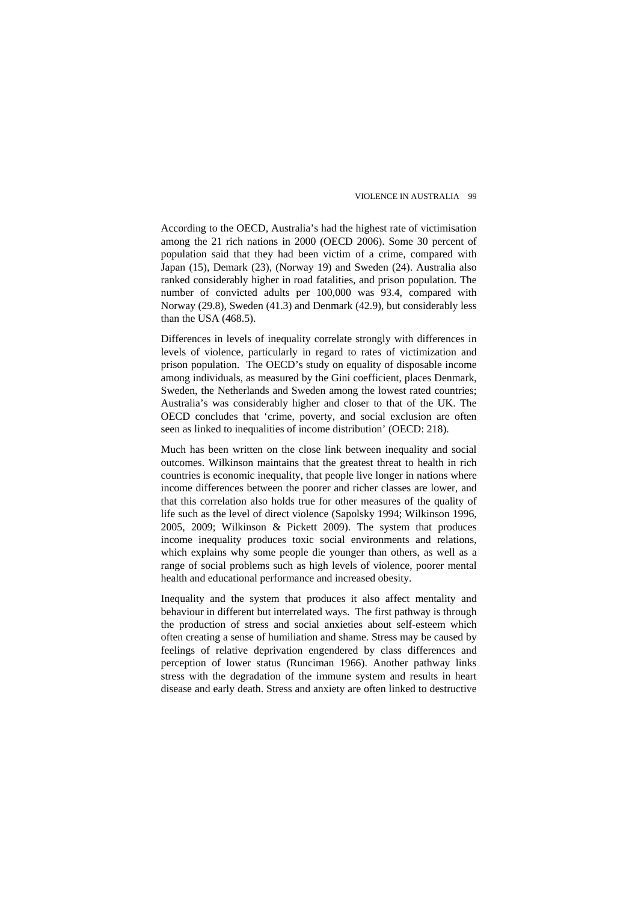According to the OECD, Australia's had the highest rate of victimisation among the 21 rich nations in 2000 (OECD 2006). Some 30 percent of population said that they had been victim of a crime, compared with Japan (15), Demark (23), (Norway 19) and Sweden (24). Australia also ranked considerably higher in road fatalities, and prison population. The number of convicted adults per 100,000 was 93.4, compared with Norway (29.8), Sweden (41.3) and Denmark (42.9), but considerably less than the USA (468.5).

Differences in levels of inequality correlate strongly with differences in levels of violence, particularly in regard to rates of victimization and prison population. The OECD's study on equality of disposable income among individuals, as measured by the Gini coefficient, places Denmark, Sweden, the Netherlands and Sweden among the lowest rated countries; Australia's was considerably higher and closer to that of the UK. The OECD concludes that 'crime, poverty, and social exclusion are often seen as linked to inequalities of income distribution' (OECD: 218).

Much has been written on the close link between inequality and social outcomes. Wilkinson maintains that the greatest threat to health in rich countries is economic inequality, that people live longer in nations where income differences between the poorer and richer classes are lower, and that this correlation also holds true for other measures of the quality of life such as the level of direct violence (Sapolsky 1994; Wilkinson 1996, 2005, 2009; Wilkinson & Pickett 2009). The system that produces income inequality produces toxic social environments and relations, which explains why some people die younger than others, as well as a range of social problems such as high levels of violence, poorer mental health and educational performance and increased obesity.

Inequality and the system that produces it also affect mentality and behaviour in different but interrelated ways. The first pathway is through the production of stress and social anxieties about self-esteem which often creating a sense of humiliation and shame. Stress may be caused by feelings of relative deprivation engendered by class differences and perception of lower status (Runciman 1966). Another pathway links stress with the degradation of the immune system and results in heart disease and early death. Stress and anxiety are often linked to destructive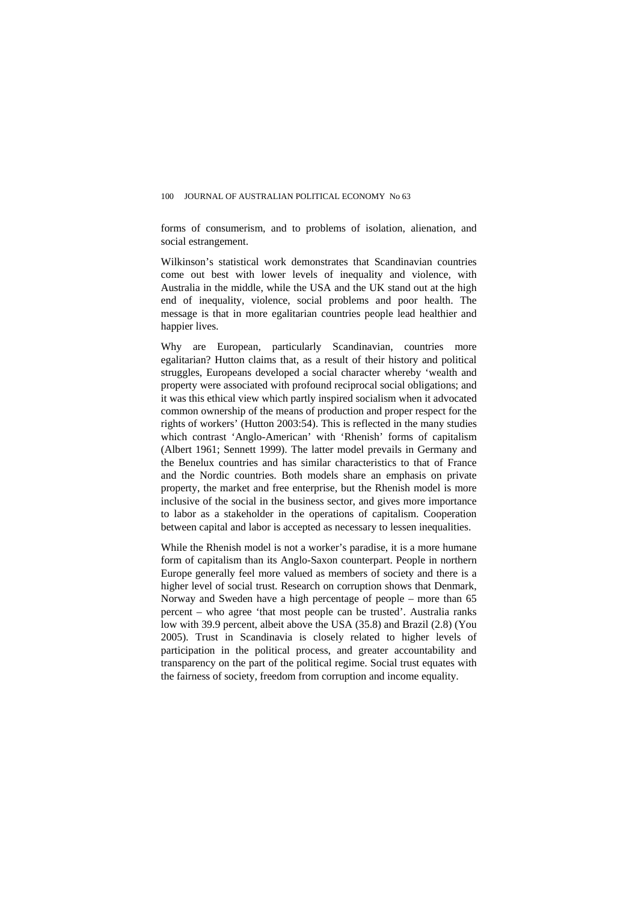forms of consumerism, and to problems of isolation, alienation, and social estrangement.

Wilkinson's statistical work demonstrates that Scandinavian countries come out best with lower levels of inequality and violence, with Australia in the middle, while the USA and the UK stand out at the high end of inequality, violence, social problems and poor health. The message is that in more egalitarian countries people lead healthier and happier lives.

Why are European, particularly Scandinavian, countries more egalitarian? Hutton claims that, as a result of their history and political struggles, Europeans developed a social character whereby 'wealth and property were associated with profound reciprocal social obligations; and it was this ethical view which partly inspired socialism when it advocated common ownership of the means of production and proper respect for the rights of workers' (Hutton 2003:54). This is reflected in the many studies which contrast 'Anglo-American' with 'Rhenish' forms of capitalism (Albert 1961; Sennett 1999). The latter model prevails in Germany and the Benelux countries and has similar characteristics to that of France and the Nordic countries. Both models share an emphasis on private property, the market and free enterprise, but the Rhenish model is more inclusive of the social in the business sector, and gives more importance to labor as a stakeholder in the operations of capitalism. Cooperation between capital and labor is accepted as necessary to lessen inequalities.

While the Rhenish model is not a worker's paradise, it is a more humane form of capitalism than its Anglo-Saxon counterpart. People in northern Europe generally feel more valued as members of society and there is a higher level of social trust. Research on corruption shows that Denmark, Norway and Sweden have a high percentage of people – more than 65 percent – who agree 'that most people can be trusted'. Australia ranks low with 39.9 percent, albeit above the USA (35.8) and Brazil (2.8) (You 2005). Trust in Scandinavia is closely related to higher levels of participation in the political process, and greater accountability and transparency on the part of the political regime. Social trust equates with the fairness of society, freedom from corruption and income equality.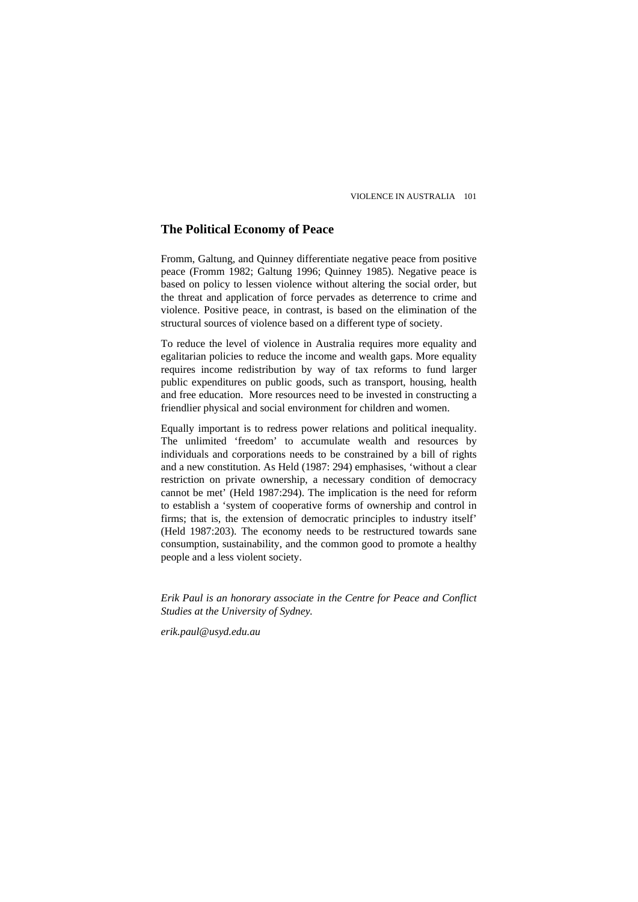## **The Political Economy of Peace**

Fromm, Galtung, and Quinney differentiate negative peace from positive peace (Fromm 1982; Galtung 1996; Quinney 1985). Negative peace is based on policy to lessen violence without altering the social order, but the threat and application of force pervades as deterrence to crime and violence. Positive peace, in contrast, is based on the elimination of the structural sources of violence based on a different type of society.

To reduce the level of violence in Australia requires more equality and egalitarian policies to reduce the income and wealth gaps. More equality requires income redistribution by way of tax reforms to fund larger public expenditures on public goods, such as transport, housing, health and free education. More resources need to be invested in constructing a friendlier physical and social environment for children and women.

Equally important is to redress power relations and political inequality. The unlimited 'freedom' to accumulate wealth and resources by individuals and corporations needs to be constrained by a bill of rights and a new constitution. As Held (1987: 294) emphasises, 'without a clear restriction on private ownership, a necessary condition of democracy cannot be met' (Held 1987:294). The implication is the need for reform to establish a 'system of cooperative forms of ownership and control in firms; that is, the extension of democratic principles to industry itself' (Held 1987:203). The economy needs to be restructured towards sane consumption, sustainability, and the common good to promote a healthy people and a less violent society.

*Erik Paul is an honorary associate in the Centre for Peace and Conflict Studies at the University of Sydney.* 

*[erik.paul@usyd.edu.au](mailto:eric.paul@usyd.edu.au)*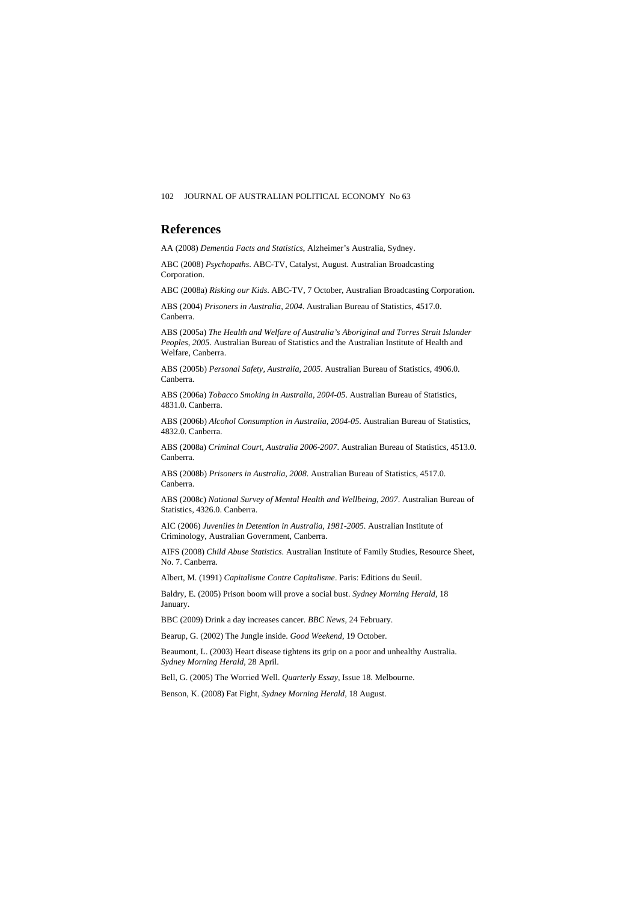#### 102 JOURNAL OF AUSTRALIAN POLITICAL ECONOMY No 63

#### **References**

AA (2008) *Dementia Facts and Statistics*, Alzheimer's Australia, Sydney.

ABC (2008) *Psychopaths*. ABC-TV, Catalyst, August. Australian Broadcasting Corporation.

ABC (2008a) *Risking our Kids*. ABC-TV, 7 October, Australian Broadcasting Corporation.

ABS (2004) *Prisoners in Australia, 2004*. Australian Bureau of Statistics, 4517.0. Canberra.

ABS (2005a) *The Health and Welfare of Australia's Aboriginal and Torres Strait Islander Peoples, 2005*. Australian Bureau of Statistics and the Australian Institute of Health and Welfare, Canberra.

ABS (2005b) *Personal Safety, Australia, 2005*. Australian Bureau of Statistics, 4906.0. Canberra.

ABS (2006a) *Tobacco Smoking in Australia, 2004-05*. Australian Bureau of Statistics, 4831.0. Canberra.

ABS (2006b) *Alcohol Consumption in Australia, 2004-05*. Australian Bureau of Statistics, 4832.0. Canberra.

ABS (2008a) *Criminal Court, Australia 2006-2007*. Australian Bureau of Statistics, 4513.0. Canberra.

ABS (2008b) *Prisoners in Australia, 2008*. Australian Bureau of Statistics, 4517.0. Canberra.

ABS (2008c) *National Survey of Mental Health and Wellbeing, 2007*. Australian Bureau of Statistics, 4326.0. Canberra.

AIC (2006) *Juveniles in Detention in Australia, 1981-2005*. Australian Institute of Criminology, Australian Government, Canberra.

AIFS (2008) *Child Abuse Statistics*. Australian Institute of Family Studies, Resource Sheet, No. 7. Canberra.

Albert, M. (1991) *Capitalisme Contre Capitalisme*. Paris: Editions du Seuil.

Baldry, E. (2005) Prison boom will prove a social bust. *Sydney Morning Herald*, 18 January.

BBC (2009) Drink a day increases cancer. *BBC News*, 24 February.

Bearup, G. (2002) The Jungle inside. *Good Weekend*, 19 October.

Beaumont, L. (2003) Heart disease tightens its grip on a poor and unhealthy Australia. *Sydney Morning Herald*, 28 April.

Bell, G. (2005) The Worried Well. *Quarterly Essay*, Issue 18. Melbourne.

Benson, K. (2008) Fat Fight, *Sydney Morning Herald*, 18 August.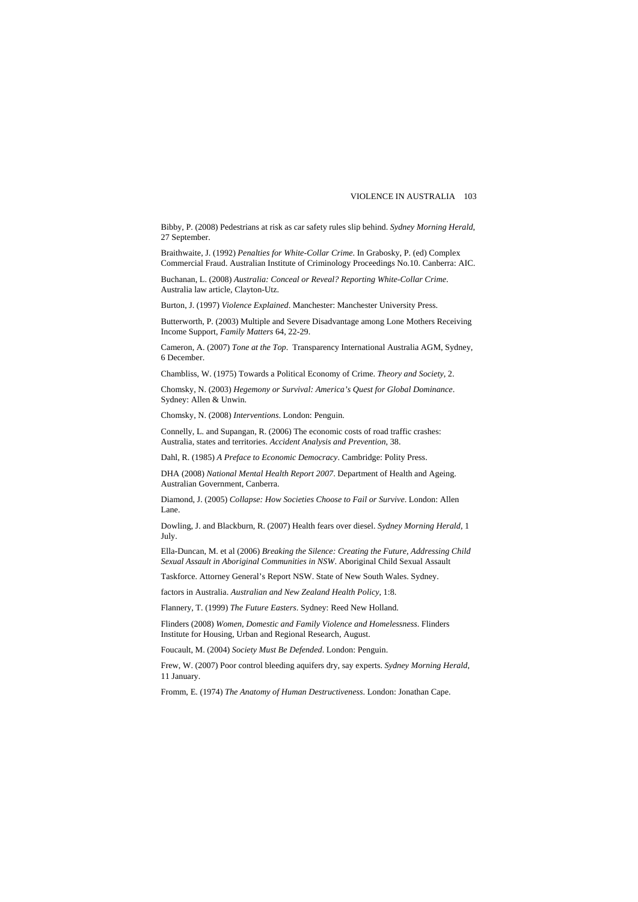Bibby, P. (2008) Pedestrians at risk as car safety rules slip behind. *Sydney Morning Herald*, 27 September.

Braithwaite, J. (1992) *Penalties for White-Collar Crime*. In Grabosky, P. (ed) Complex Commercial Fraud. Australian Institute of Criminology Proceedings No.10. Canberra: AIC.

Buchanan, L. (2008) *Australia: Conceal or Reveal? Reporting White-Collar Crime*. Australia law article, Clayton-Utz.

Burton, J. (1997) *Violence Explained*. Manchester: Manchester University Press.

Butterworth, P. (2003) Multiple and Severe Disadvantage among Lone Mothers Receiving Income Support, *Family Matters* 64, 22-29.

Cameron, A. (2007) *Tone at the Top*. Transparency International Australia AGM, Sydney, 6 December.

Chambliss, W. (1975) Towards a Political Economy of Crime. *Theory and Society*, 2.

Chomsky, N. (2003) *Hegemony or Survival: America's Quest for Global Dominance*. Sydney: Allen & Unwin.

Chomsky, N. (2008) *Interventions*. London: Penguin.

Connelly, L. and Supangan, R. (2006) The economic costs of road traffic crashes: Australia, states and territories. *Accident Analysis and Prevention*, 38.

Dahl, R. (1985) *A Preface to Economic Democracy*. Cambridge: Polity Press.

DHA (2008) *National Mental Health Report 2007*. Department of Health and Ageing. Australian Government, Canberra.

Diamond, J. (2005) *Collapse: How Societies Choose to Fail or Survive*. London: Allen Lane.

Dowling, J. and Blackburn, R. (2007) Health fears over diesel. *Sydney Morning Herald*, 1 July.

Ella-Duncan, M. et al (2006) *Breaking the Silence: Creating the Future, Addressing Child Sexual Assault in Aboriginal Communities in NSW*. Aboriginal Child Sexual Assault

Taskforce. Attorney General's Report NSW. State of New South Wales. Sydney.

factors in Australia. *Australian and New Zealand Health Policy*, 1:8.

Flannery, T. (1999) *The Future Easters*. Sydney: Reed New Holland.

Flinders (2008) *Women, Domestic and Family Violence and Homelessness*. Flinders Institute for Housing, Urban and Regional Research, August.

Foucault, M. (2004) *Society Must Be Defended*. London: Penguin.

Frew, W. (2007) Poor control bleeding aquifers dry, say experts. *Sydney Morning Herald*, 11 January.

Fromm, E. (1974) *The Anatomy of Human Destructiveness*. London: Jonathan Cape.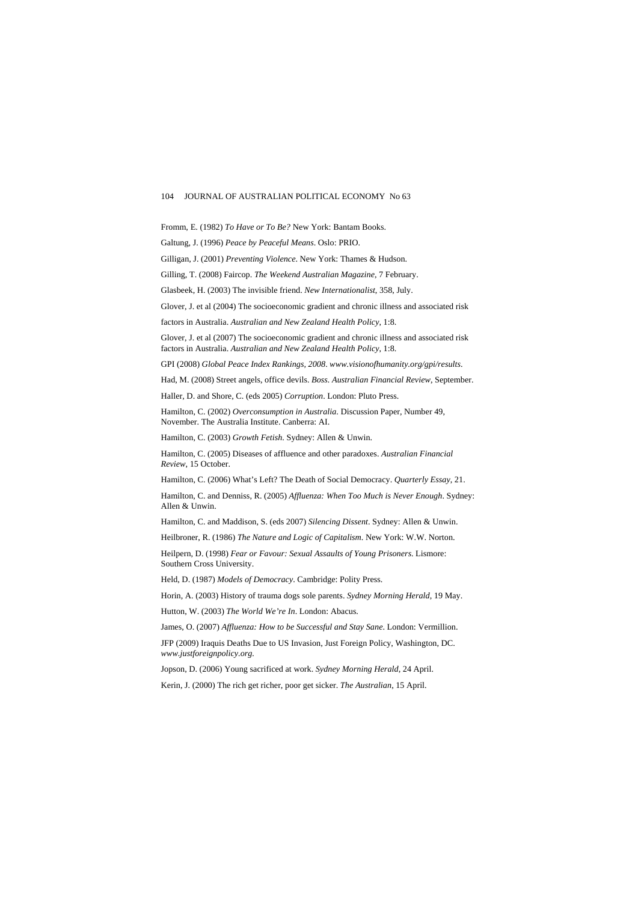Fromm, E. (1982) *To Have or To Be?* New York: Bantam Books.

Galtung, J. (1996) *Peace by Peaceful Means*. Oslo: PRIO.

Gilligan, J. (2001) *Preventing Violence*. New York: Thames & Hudson.

Gilling, T. (2008) Faircop. *The Weekend Australian Magazine*, 7 February.

Glasbeek, H. (2003) The invisible friend. *New Internationalist*, 358, July.

Glover, J. et al (2004) The socioeconomic gradient and chronic illness and associated risk

factors in Australia. *Australian and New Zealand Health Policy*, 1:8.

Glover, J. et al (2007) The socioeconomic gradient and chronic illness and associated risk factors in Australia. *Australian and New Zealand Health Policy*, 1:8.

GPI (2008) *Global Peace Index Rankings, 2008*. *[www.visionofhumanity.org](http://www.visionofhumanity.org/)/gpi/results*.

Had, M. (2008) Street angels, office devils. *Boss. Australian Financial Review*, September.

Haller, D. and Shore, C. (eds 2005) *Corruption*. London: Pluto Press.

Hamilton, C. (2002) *Overconsumption in Australia*. Discussion Paper, Number 49, November. The Australia Institute. Canberra: AI.

Hamilton, C. (2003) *Growth Fetish*. Sydney: Allen & Unwin.

Hamilton, C. (2005) Diseases of affluence and other paradoxes. *Australian Financial Review*, 15 October.

Hamilton, C. (2006) What's Left? The Death of Social Democracy. *Quarterly Essay*, 21.

Hamilton, C. and Denniss, R. (2005) *Affluenza: When Too Much is Never Enough*. Sydney: Allen & Unwin.

Hamilton, C. and Maddison, S. (eds 2007) *Silencing Dissent*. Sydney: Allen & Unwin.

Heilbroner, R. (1986) *The Nature and Logic of Capitalism*. New York: W.W. Norton.

Heilpern, D. (1998) *Fear or Favour: Sexual Assaults of Young Prisoners*. Lismore: Southern Cross University.

Held, D. (1987) *Models of Democracy*. Cambridge: Polity Press.

Horin, A. (2003) History of trauma dogs sole parents. *Sydney Morning Herald*, 19 May.

Hutton, W. (2003) *The World We're In*. London: Abacus.

James, O. (2007) *Affluenza: How to be Successful and Stay Sane*. London: Vermillion.

JFP (2009) Iraquis Deaths Due to US Invasion, Just Foreign Policy, Washington, DC. *[www.justforeignpolicy.org.](http://www.justforeignpolicy.org/)*

Jopson, D. (2006) Young sacrificed at work. *Sydney Morning Herald*, 24 April.

Kerin, J. (2000) The rich get richer, poor get sicker. *The Australian*, 15 April.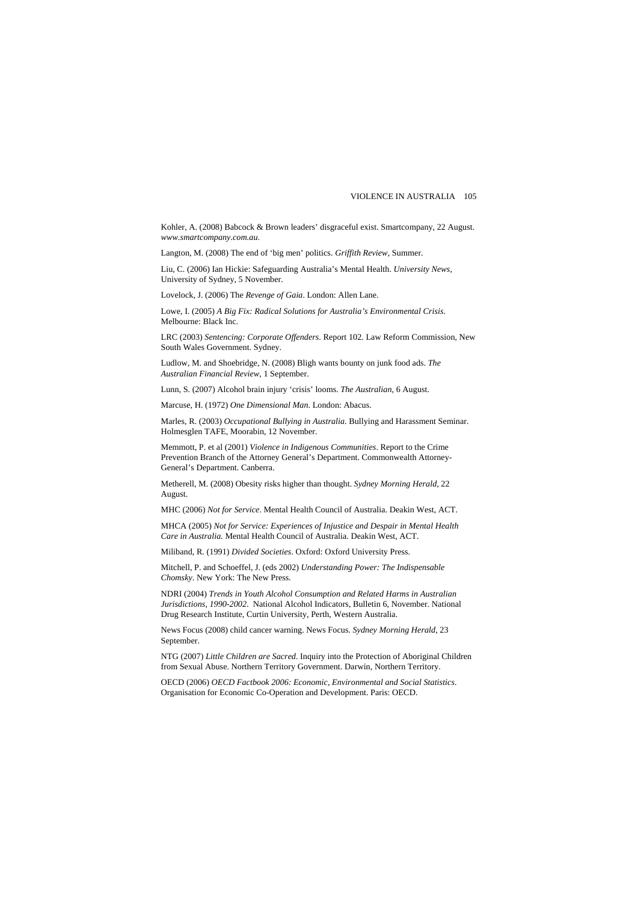Kohler, A. (2008) Babcock & Brown leaders' disgraceful exist. Smartcompany, 22 August. *www.smartcompany.com.au*.

Langton, M. (2008) The end of 'big men' politics. *Griffith Review*, Summer.

Liu, C. (2006) Ian Hickie: Safeguarding Australia's Mental Health. *University News*, University of Sydney, 5 November.

Lovelock, J. (2006) The *Revenge of Gaia*. London: Allen Lane.

Lowe, I. (2005) *A Big Fix: Radical Solutions for Australia's Environmental Crisis*. Melbourne: Black Inc.

LRC (2003) *Sentencing: Corporate Offenders*. Report 102. Law Reform Commission, New South Wales Government. Sydney.

Ludlow, M. and Shoebridge, N. (2008) Bligh wants bounty on junk food ads. *The Australian Financial Review*, 1 September.

Lunn, S. (2007) Alcohol brain injury 'crisis' looms. *The Australian*, 6 August.

Marcuse, H. (1972) *One Dimensional Man*. London: Abacus.

Marles, R. (2003) *Occupational Bullying in Australia.* Bullying and Harassment Seminar. Holmesglen TAFE, Moorabin, 12 November.

Memmott, P. et al (2001) *Violence in Indigenous Communities*. Report to the Crime Prevention Branch of the Attorney General's Department. Commonwealth Attorney-General's Department. Canberra.

Metherell, M. (2008) Obesity risks higher than thought. *Sydney Morning Herald,* 22 August.

MHC (2006) *Not for Service*. Mental Health Council of Australia. Deakin West, ACT.

MHCA (2005) *Not for Service: Experiences of Injustice and Despair in Mental Health Care in Australia.* Mental Health Council of Australia. Deakin West, ACT.

Miliband, R. (1991) *Divided Societies*. Oxford: Oxford University Press.

Mitchell, P. and Schoeffel, J. (eds 2002) *Understanding Power: The Indispensable Chomsky*. New York: The New Press.

NDRI (2004) *Trends in Youth Alcohol Consumption and Related Harms in Australian Jurisdictions, 1990-2002*. National Alcohol Indicators, Bulletin 6, November. National Drug Research Institute, Curtin University, Perth, Western Australia.

News Focus (2008) child cancer warning. News Focus. *Sydney Morning Herald*, 23 September.

NTG (2007) *Little Children are Sacred*. Inquiry into the Protection of Aboriginal Children from Sexual Abuse. Northern Territory Government. Darwin, Northern Territory.

OECD (2006) *OECD Factbook 2006: Economic, Environmental and Social Statistics*. Organisation for Economic Co-Operation and Development. Paris: OECD.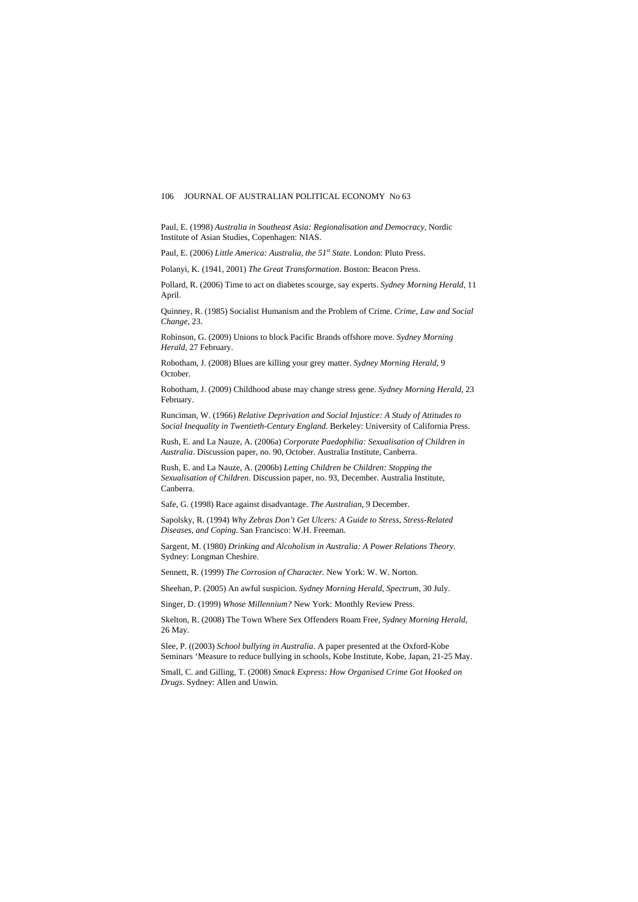Paul, E. (1998) *Australia in Southeast Asia: Regionalisation and Democracy*, Nordic Institute of Asian Studies, Copenhagen: NIAS.

Paul, E. (2006) *Little America: Australia, the 51st State*. London: Pluto Press.

Polanyi, K. (1941, 2001) *The Great Transformation*. Boston: Beacon Press.

Pollard, R. (2006) Time to act on diabetes scourge, say experts. *Sydney Morning Herald*, 11 April.

Quinney, R. (1985) Socialist Humanism and the Problem of Crime. *Crime, Law and Social Change,* 23.

Robinson, G. (2009) Unions to block Pacific Brands offshore move. *Sydney Morning Herald*, 27 February.

Robotham, J. (2008) Blues are killing your grey matter. *Sydney Morning Herald*, 9 October.

Robotham, J. (2009) Childhood abuse may change stress gene. *Sydney Morning Herald*, 23 February.

Runciman, W. (1966) *Relative Deprivation and Social Injustice: A Study of Attitudes to Social Inequality in Twentieth-Century England*. Berkeley: University of California Press.

Rush, E. and La Nauze, A. (2006a) *Corporate Paedophilia: Sexualisation of Children in Australia*. Discussion paper, no. 90, October. Australia Institute, Canberra.

Rush, E. and La Nauze, A. (2006b) *Letting Children be Children: Stopping the Sexualisation of Children.* Discussion paper, no. 93, December. Australia Institute, Canberra.

Safe, G. (1998) Race against disadvantage. *The Australian*, 9 December.

Sapolsky, R. (1994) *Why Zebras Don't Get Ulcers: A Guide to Stress, Stress-Related Diseases, and Coping*. San Francisco: W.H. Freeman.

Sargent, M. (1980) *Drinking and Alcoholism in Australia: A Power Relations Theory*. Sydney: Longman Cheshire.

Sennett, R. (1999) *The Corrosion of Character.* New York: W. W. Norton.

Sheehan, P. (2005) An awful suspicion. *Sydney Morning Herald*, *Spectrum*, 30 July.

Singer, D. (1999) *Whose Millennium?* New York: Monthly Review Press.

Skelton, R. (2008) The Town Where Sex Offenders Roam Free, *Sydney Morning Herald*, 26 May.

Slee, P. ((2003) *School bullying in Australia*. A paper presented at the Oxford-Kobe Seminars 'Measure to reduce bullying in schools, Kobe Institute, Kobe, Japan, 21-25 May.

Small, C. and Gilling, T. (2008) *Smack Express: How Organised Crime Got Hooked on Drugs*. Sydney: Allen and Unwin.